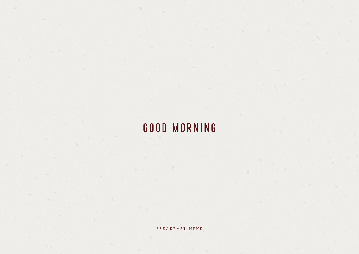## good morning

b r e a k f a s t m e n u